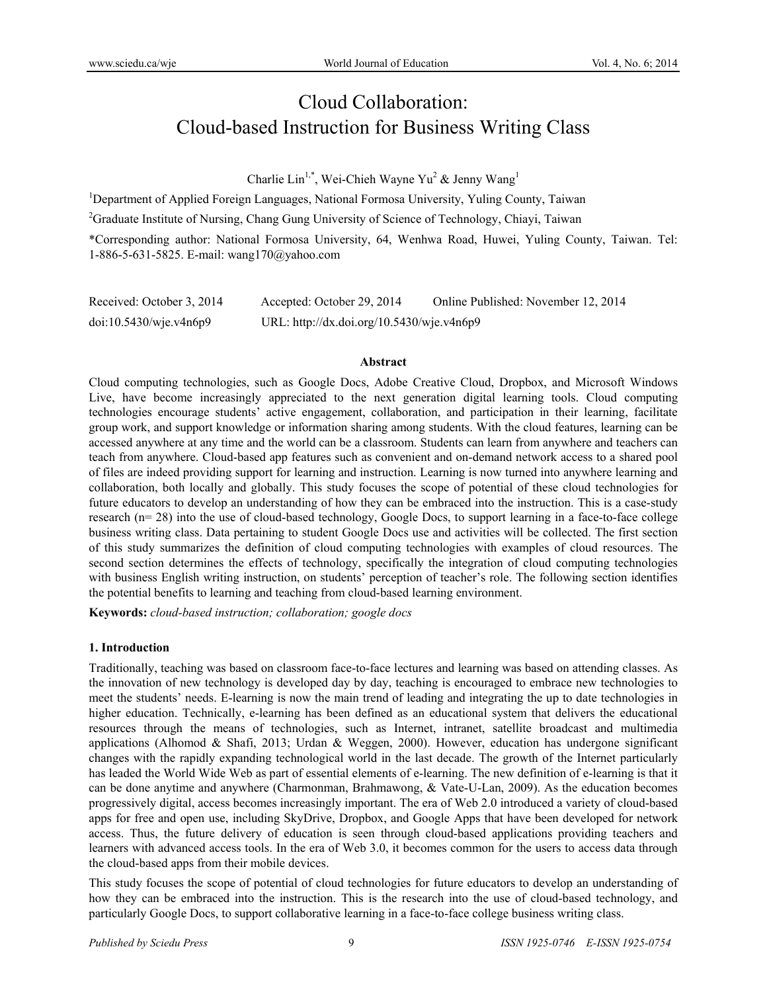# Cloud Collaboration: Cloud-based Instruction for Business Writing Class

Charlie Lin<sup>1,\*</sup>, Wei-Chieh Wayne Yu<sup>2</sup> & Jenny Wang<sup>1</sup>

<sup>1</sup>Department of Applied Foreign Languages, National Formosa University, Yuling County, Taiwan <sup>2</sup>Graduate Institute of Nursing, Chang Gung University of Science of Technology, Chiayi, Taiwan \*Corresponding author: National Formosa University, 64, Wenhwa Road, Huwei, Yuling County, Taiwan. Tel:

1-886-5-631-5825. E-mail: wang170@yahoo.com

| Received: October 3, 2014 | Accepted: October 29, 2014                | Online Published: November 12, 2014 |
|---------------------------|-------------------------------------------|-------------------------------------|
| doi:10.5430/wje.v4n6p9    | URL: http://dx.doi.org/10.5430/wje.v4n6p9 |                                     |

## **Abstract**

Cloud computing technologies, such as Google Docs, Adobe Creative Cloud, Dropbox, and Microsoft Windows Live, have become increasingly appreciated to the next generation digital learning tools. Cloud computing technologies encourage students' active engagement, collaboration, and participation in their learning, facilitate group work, and support knowledge or information sharing among students. With the cloud features, learning can be accessed anywhere at any time and the world can be a classroom. Students can learn from anywhere and teachers can teach from anywhere. Cloud-based app features such as convenient and on-demand network access to a shared pool of files are indeed providing support for learning and instruction. Learning is now turned into anywhere learning and collaboration, both locally and globally. This study focuses the scope of potential of these cloud technologies for future educators to develop an understanding of how they can be embraced into the instruction. This is a case-study research (n= 28) into the use of cloud-based technology, Google Docs, to support learning in a face-to-face college business writing class. Data pertaining to student Google Docs use and activities will be collected. The first section of this study summarizes the definition of cloud computing technologies with examples of cloud resources. The second section determines the effects of technology, specifically the integration of cloud computing technologies with business English writing instruction, on students' perception of teacher's role. The following section identifies the potential benefits to learning and teaching from cloud-based learning environment.

**Keywords:** *cloud-based instruction; collaboration; google docs*

## **1. Introduction**

Traditionally, teaching was based on classroom face-to-face lectures and learning was based on attending classes. As the innovation of new technology is developed day by day, teaching is encouraged to embrace new technologies to meet the students' needs. E-learning is now the main trend of leading and integrating the up to date technologies in higher education. Technically, e-learning has been defined as an educational system that delivers the educational resources through the means of technologies, such as Internet, intranet, satellite broadcast and multimedia applications (Alhomod & Shafi, 2013; Urdan & Weggen, 2000). However, education has undergone significant changes with the rapidly expanding technological world in the last decade. The growth of the Internet particularly has leaded the World Wide Web as part of essential elements of e-learning. The new definition of e-learning is that it can be done anytime and anywhere (Charmonman, Brahmawong, & Vate-U-Lan, 2009). As the education becomes progressively digital, access becomes increasingly important. The era of Web 2.0 introduced a variety of cloud-based apps for free and open use, including SkyDrive, Dropbox, and Google Apps that have been developed for network access. Thus, the future delivery of education is seen through cloud-based applications providing teachers and learners with advanced access tools. In the era of Web 3.0, it becomes common for the users to access data through the cloud-based apps from their mobile devices.

This study focuses the scope of potential of cloud technologies for future educators to develop an understanding of how they can be embraced into the instruction. This is the research into the use of cloud-based technology, and particularly Google Docs, to support collaborative learning in a face-to-face college business writing class.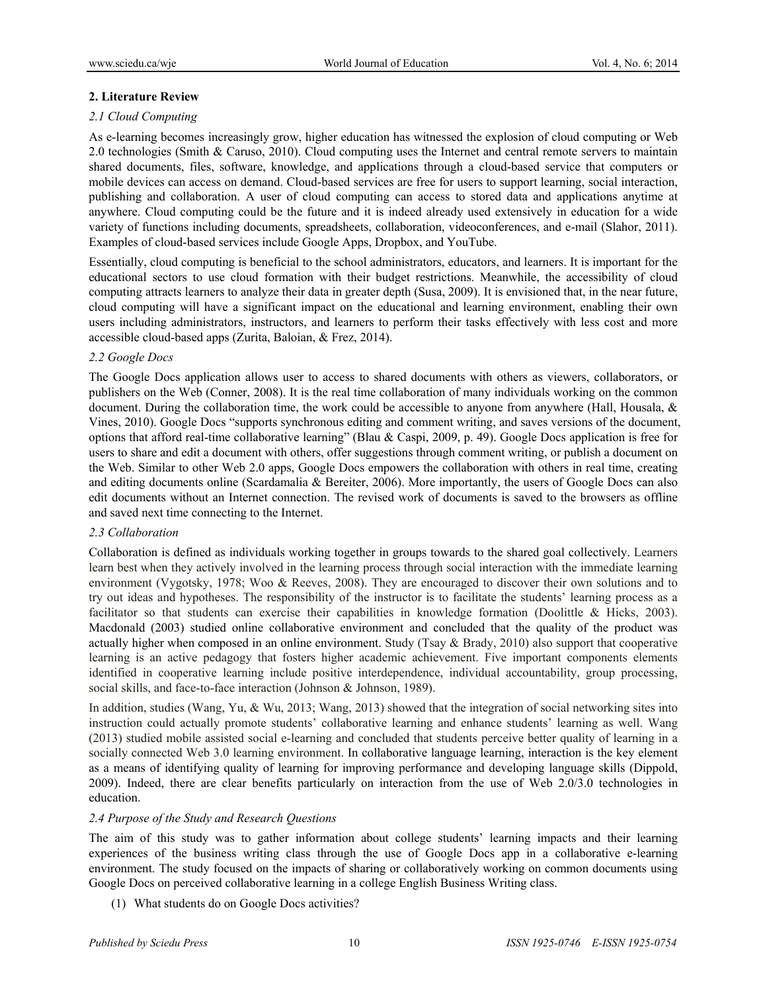# **2. Literature Review**

# *2.1 Cloud Computing*

As e-learning becomes increasingly grow, higher education has witnessed the explosion of cloud computing or Web 2.0 technologies (Smith & Caruso, 2010). Cloud computing uses the Internet and central remote servers to maintain shared documents, files, software, knowledge, and applications through a cloud-based service that computers or mobile devices can access on demand. Cloud-based services are free for users to support learning, social interaction, publishing and collaboration. A user of cloud computing can access to stored data and applications anytime at anywhere. Cloud computing could be the future and it is indeed already used extensively in education for a wide variety of functions including documents, spreadsheets, collaboration, videoconferences, and e-mail (Slahor, 2011). Examples of cloud-based services include Google Apps, Dropbox, and YouTube.

Essentially, cloud computing is beneficial to the school administrators, educators, and learners. It is important for the educational sectors to use cloud formation with their budget restrictions. Meanwhile, the accessibility of cloud computing attracts learners to analyze their data in greater depth (Susa, 2009). It is envisioned that, in the near future, cloud computing will have a significant impact on the educational and learning environment, enabling their own users including administrators, instructors, and learners to perform their tasks effectively with less cost and more accessible cloud-based apps (Zurita, Baloian, & Frez, 2014).

## *2.2 Google Docs*

The Google Docs application allows user to access to shared documents with others as viewers, collaborators, or publishers on the Web (Conner, 2008). It is the real time collaboration of many individuals working on the common document. During the collaboration time, the work could be accessible to anyone from anywhere (Hall, Housala, & Vines, 2010). Google Docs "supports synchronous editing and comment writing, and saves versions of the document, options that afford real-time collaborative learning" (Blau & Caspi, 2009, p. 49). Google Docs application is free for users to share and edit a document with others, offer suggestions through comment writing, or publish a document on the Web. Similar to other Web 2.0 apps, Google Docs empowers the collaboration with others in real time, creating and editing documents online (Scardamalia & Bereiter, 2006). More importantly, the users of Google Docs can also edit documents without an Internet connection. The revised work of documents is saved to the browsers as offline and saved next time connecting to the Internet.

## *2.3 Collaboration*

Collaboration is defined as individuals working together in groups towards to the shared goal collectively. Learners learn best when they actively involved in the learning process through social interaction with the immediate learning environment (Vygotsky, 1978; Woo & Reeves, 2008). They are encouraged to discover their own solutions and to try out ideas and hypotheses. The responsibility of the instructor is to facilitate the students' learning process as a facilitator so that students can exercise their capabilities in knowledge formation (Doolittle & Hicks, 2003). Macdonald (2003) studied online collaborative environment and concluded that the quality of the product was actually higher when composed in an online environment. Study (Tsay & Brady, 2010) also support that cooperative learning is an active pedagogy that fosters higher academic achievement. Five important components elements identified in cooperative learning include positive interdependence, individual accountability, group processing, social skills, and face-to-face interaction (Johnson & Johnson, 1989).

In addition, studies (Wang, Yu, & Wu, 2013; Wang, 2013) showed that the integration of social networking sites into instruction could actually promote students' collaborative learning and enhance students' learning as well. Wang (2013) studied mobile assisted social e-learning and concluded that students perceive better quality of learning in a socially connected Web 3.0 learning environment. In collaborative language learning, interaction is the key element as a means of identifying quality of learning for improving performance and developing language skills (Dippold, 2009). Indeed, there are clear benefits particularly on interaction from the use of Web 2.0/3.0 technologies in education.

## *2.4 Purpose of the Study and Research Questions*

The aim of this study was to gather information about college students' learning impacts and their learning experiences of the business writing class through the use of Google Docs app in a collaborative e-learning environment. The study focused on the impacts of sharing or collaboratively working on common documents using Google Docs on perceived collaborative learning in a college English Business Writing class.

(1) What students do on Google Docs activities?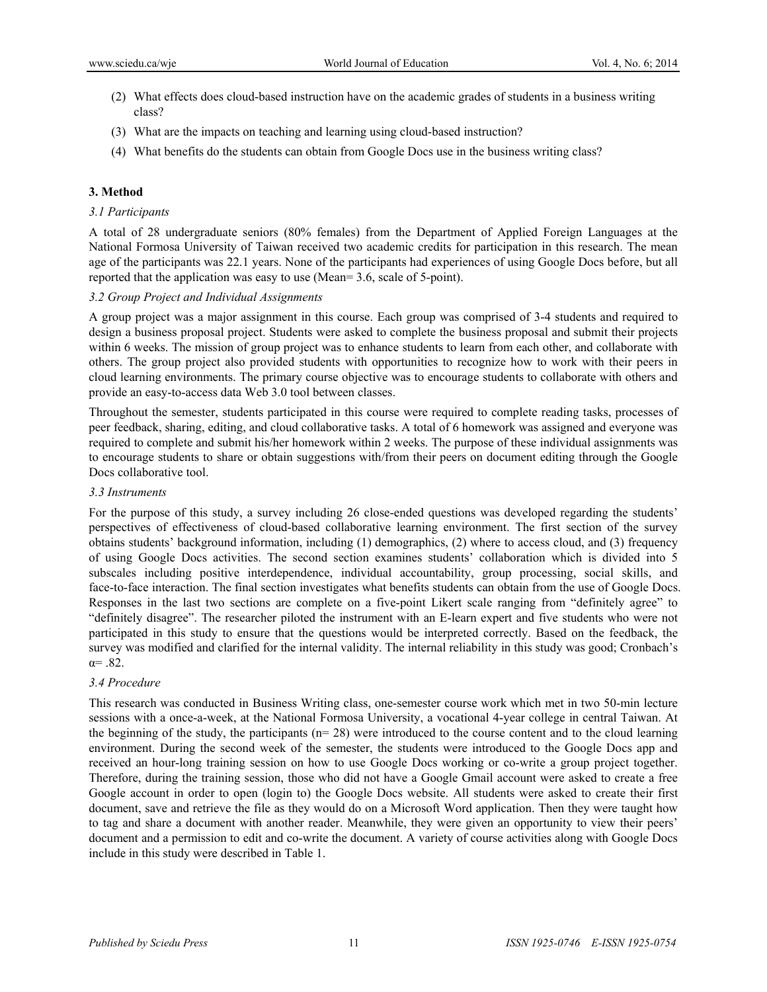- (2) What effects does cloud-based instruction have on the academic grades of students in a business writing class?
- (3) What are the impacts on teaching and learning using cloud-based instruction?
- (4) What benefits do the students can obtain from Google Docs use in the business writing class?

# **3. Method**

## *3.1 Participants*

A total of 28 undergraduate seniors (80% females) from the Department of Applied Foreign Languages at the National Formosa University of Taiwan received two academic credits for participation in this research. The mean age of the participants was 22.1 years. None of the participants had experiences of using Google Docs before, but all reported that the application was easy to use (Mean= 3.6, scale of 5-point).

## *3.2 Group Project and Individual Assignments*

A group project was a major assignment in this course. Each group was comprised of 3-4 students and required to design a business proposal project. Students were asked to complete the business proposal and submit their projects within 6 weeks. The mission of group project was to enhance students to learn from each other, and collaborate with others. The group project also provided students with opportunities to recognize how to work with their peers in cloud learning environments. The primary course objective was to encourage students to collaborate with others and provide an easy-to-access data Web 3.0 tool between classes.

Throughout the semester, students participated in this course were required to complete reading tasks, processes of peer feedback, sharing, editing, and cloud collaborative tasks. A total of 6 homework was assigned and everyone was required to complete and submit his/her homework within 2 weeks. The purpose of these individual assignments was to encourage students to share or obtain suggestions with/from their peers on document editing through the Google Docs collaborative tool.

## *3.3 Instruments*

For the purpose of this study, a survey including 26 close-ended questions was developed regarding the students' perspectives of effectiveness of cloud-based collaborative learning environment. The first section of the survey obtains students' background information, including (1) demographics, (2) where to access cloud, and (3) frequency of using Google Docs activities. The second section examines students' collaboration which is divided into 5 subscales including positive interdependence, individual accountability, group processing, social skills, and face-to-face interaction. The final section investigates what benefits students can obtain from the use of Google Docs. Responses in the last two sections are complete on a five-point Likert scale ranging from "definitely agree" to "definitely disagree". The researcher piloted the instrument with an E-learn expert and five students who were not participated in this study to ensure that the questions would be interpreted correctly. Based on the feedback, the survey was modified and clarified for the internal validity. The internal reliability in this study was good; Cronbach's  $\alpha = .82$ .

## *3.4 Procedure*

This research was conducted in Business Writing class, one-semester course work which met in two 50-min lecture sessions with a once-a-week, at the National Formosa University, a vocational 4-year college in central Taiwan. At the beginning of the study, the participants  $(n= 28)$  were introduced to the course content and to the cloud learning environment. During the second week of the semester, the students were introduced to the Google Docs app and received an hour-long training session on how to use Google Docs working or co-write a group project together. Therefore, during the training session, those who did not have a Google Gmail account were asked to create a free Google account in order to open (login to) the Google Docs website. All students were asked to create their first document, save and retrieve the file as they would do on a Microsoft Word application. Then they were taught how to tag and share a document with another reader. Meanwhile, they were given an opportunity to view their peers' document and a permission to edit and co-write the document. A variety of course activities along with Google Docs include in this study were described in Table 1.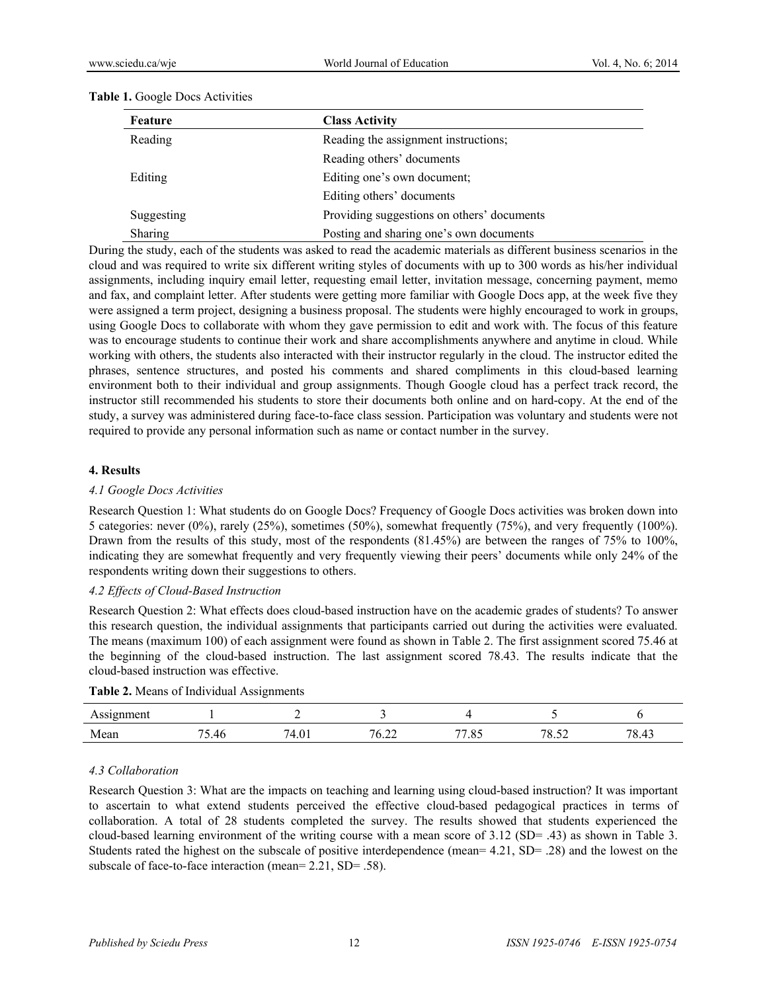| Feature        | <b>Class Activity</b>                      |
|----------------|--------------------------------------------|
| Reading        | Reading the assignment instructions;       |
|                | Reading others' documents                  |
| Editing        | Editing one's own document;                |
|                | Editing others' documents                  |
| Suggesting     | Providing suggestions on others' documents |
| <b>Sharing</b> | Posting and sharing one's own documents    |

#### **Table 1.** Google Docs Activities

During the study, each of the students was asked to read the academic materials as different business scenarios in the cloud and was required to write six different writing styles of documents with up to 300 words as his/her individual assignments, including inquiry email letter, requesting email letter, invitation message, concerning payment, memo and fax, and complaint letter. After students were getting more familiar with Google Docs app, at the week five they were assigned a term project, designing a business proposal. The students were highly encouraged to work in groups, using Google Docs to collaborate with whom they gave permission to edit and work with. The focus of this feature was to encourage students to continue their work and share accomplishments anywhere and anytime in cloud. While working with others, the students also interacted with their instructor regularly in the cloud. The instructor edited the phrases, sentence structures, and posted his comments and shared compliments in this cloud-based learning environment both to their individual and group assignments. Though Google cloud has a perfect track record, the instructor still recommended his students to store their documents both online and on hard-copy. At the end of the study, a survey was administered during face-to-face class session. Participation was voluntary and students were not required to provide any personal information such as name or contact number in the survey.

## **4. Results**

#### *4.1 Google Docs Activities*

Research Question 1: What students do on Google Docs? Frequency of Google Docs activities was broken down into 5 categories: never (0%), rarely (25%), sometimes (50%), somewhat frequently (75%), and very frequently (100%). Drawn from the results of this study, most of the respondents (81.45%) are between the ranges of 75% to 100%, indicating they are somewhat frequently and very frequently viewing their peers' documents while only 24% of the respondents writing down their suggestions to others.

#### *4.2 Effects of Cloud-Based Instruction*

Research Question 2: What effects does cloud-based instruction have on the academic grades of students? To answer this research question, the individual assignments that participants carried out during the activities were evaluated. The means (maximum 100) of each assignment were found as shown in Table 2. The first assignment scored 75.46 at the beginning of the cloud-based instruction. The last assignment scored 78.43. The results indicate that the cloud-based instruction was effective.

| mm<br>IVIII<br><b>TTOD</b> |                 | -            |       |                        |             |                                       |
|----------------------------|-----------------|--------------|-------|------------------------|-------------|---------------------------------------|
| Mean                       | $\sim$<br>'5.46 | 74.<br>'4.01 | 76.22 | $\overline{ }$<br>'.85 | 705<br>2د.ه | $70-$<br>$\sim$<br>$\sqrt{1}$<br>0.4J |

## *4.3 Collaboration*

Research Question 3: What are the impacts on teaching and learning using cloud-based instruction? It was important to ascertain to what extend students perceived the effective cloud-based pedagogical practices in terms of collaboration. A total of 28 students completed the survey. The results showed that students experienced the cloud-based learning environment of the writing course with a mean score of 3.12 (SD= .43) as shown in Table 3. Students rated the highest on the subscale of positive interdependence (mean= 4.21, SD= .28) and the lowest on the subscale of face-to-face interaction (mean= 2.21, SD= .58).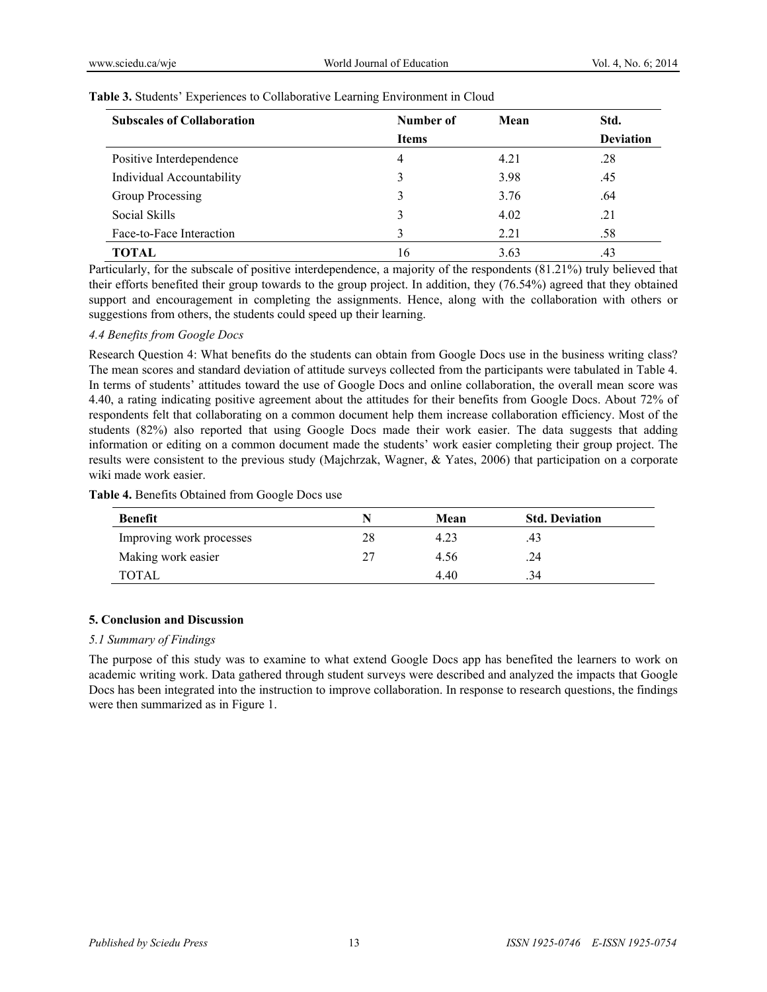| <b>Subscales of Collaboration</b> | Number of    | Mean | Std.             |  |
|-----------------------------------|--------------|------|------------------|--|
|                                   | <b>Items</b> |      | <b>Deviation</b> |  |
| Positive Interdependence          | 4            | 4.21 | .28              |  |
| Individual Accountability         | 3            | 3.98 | .45              |  |
| Group Processing                  | 3            | 3.76 | .64              |  |
| Social Skills                     | 3            | 4.02 | .21              |  |
| Face-to-Face Interaction          | 3            | 2.21 | .58              |  |
| TOTAL                             | 16           | 3.63 | .43              |  |

# **Table 3.** Students' Experiences to Collaborative Learning Environment in Cloud

Particularly, for the subscale of positive interdependence, a majority of the respondents (81.21%) truly believed that their efforts benefited their group towards to the group project. In addition, they (76.54%) agreed that they obtained support and encouragement in completing the assignments. Hence, along with the collaboration with others or suggestions from others, the students could speed up their learning.

#### *4.4 Benefits from Google Docs*

Research Question 4: What benefits do the students can obtain from Google Docs use in the business writing class? The mean scores and standard deviation of attitude surveys collected from the participants were tabulated in Table 4. In terms of students' attitudes toward the use of Google Docs and online collaboration, the overall mean score was 4.40, a rating indicating positive agreement about the attitudes for their benefits from Google Docs. About 72% of respondents felt that collaborating on a common document help them increase collaboration efficiency. Most of the students (82%) also reported that using Google Docs made their work easier. The data suggests that adding information or editing on a common document made the students' work easier completing their group project. The results were consistent to the previous study (Majchrzak, Wagner, & Yates, 2006) that participation on a corporate wiki made work easier.

|  |  |  |  |  | Table 4. Benefits Obtained from Google Docs use |
|--|--|--|--|--|-------------------------------------------------|
|--|--|--|--|--|-------------------------------------------------|

| Benefit                  |    | Mean | <b>Std. Deviation</b> |
|--------------------------|----|------|-----------------------|
| Improving work processes | 28 | 4.23 | .43                   |
| Making work easier       | 27 | 4.56 | .24                   |
| TOTAL                    |    | 4.40 | .34                   |

## **5. Conclusion and Discussion**

#### *5.1 Summary of Findings*

The purpose of this study was to examine to what extend Google Docs app has benefited the learners to work on academic writing work. Data gathered through student surveys were described and analyzed the impacts that Google Docs has been integrated into the instruction to improve collaboration. In response to research questions, the findings were then summarized as in Figure 1.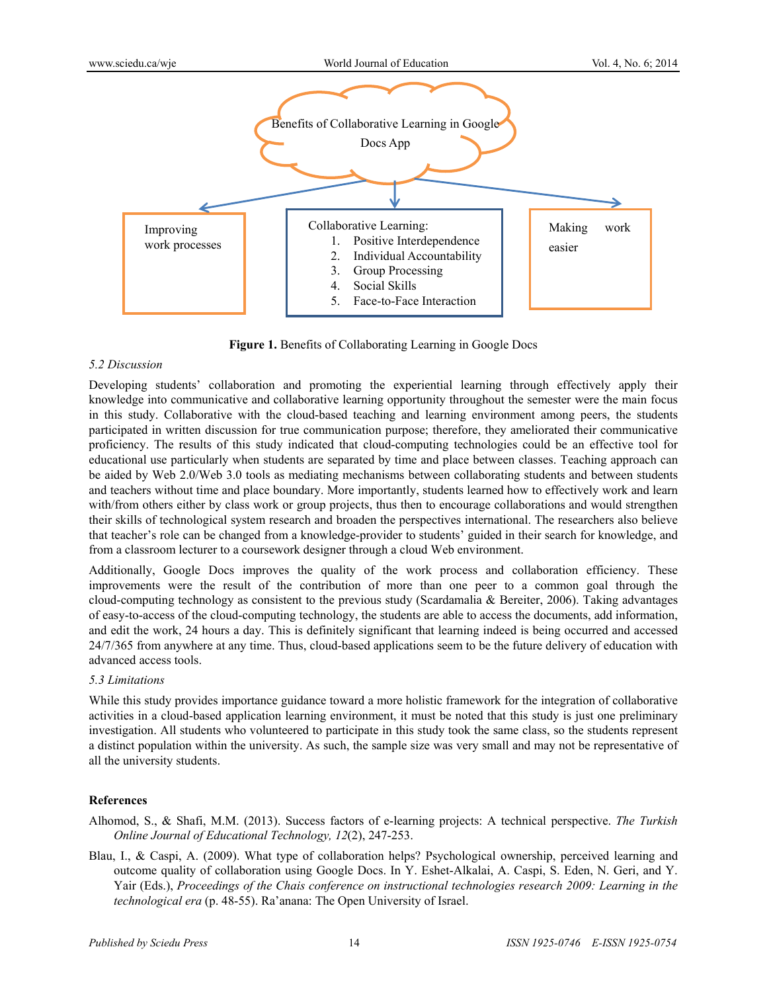

**Figure 1.** Benefits of Collaborating Learning in Google Docs

# *5.2 Discussion*

Developing students' collaboration and promoting the experiential learning through effectively apply their knowledge into communicative and collaborative learning opportunity throughout the semester were the main focus in this study. Collaborative with the cloud-based teaching and learning environment among peers, the students participated in written discussion for true communication purpose; therefore, they ameliorated their communicative proficiency. The results of this study indicated that cloud-computing technologies could be an effective tool for educational use particularly when students are separated by time and place between classes. Teaching approach can be aided by Web 2.0/Web 3.0 tools as mediating mechanisms between collaborating students and between students and teachers without time and place boundary. More importantly, students learned how to effectively work and learn with/from others either by class work or group projects, thus then to encourage collaborations and would strengthen their skills of technological system research and broaden the perspectives international. The researchers also believe that teacher's role can be changed from a knowledge-provider to students' guided in their search for knowledge, and from a classroom lecturer to a coursework designer through a cloud Web environment.

Additionally, Google Docs improves the quality of the work process and collaboration efficiency. These improvements were the result of the contribution of more than one peer to a common goal through the cloud-computing technology as consistent to the previous study (Scardamalia & Bereiter, 2006). Taking advantages of easy-to-access of the cloud-computing technology, the students are able to access the documents, add information, and edit the work, 24 hours a day. This is definitely significant that learning indeed is being occurred and accessed 24/7/365 from anywhere at any time. Thus, cloud-based applications seem to be the future delivery of education with advanced access tools.

## *5.3 Limitations*

While this study provides importance guidance toward a more holistic framework for the integration of collaborative activities in a cloud-based application learning environment, it must be noted that this study is just one preliminary investigation. All students who volunteered to participate in this study took the same class, so the students represent a distinct population within the university. As such, the sample size was very small and may not be representative of all the university students.

## **References**

Alhomod, S., & Shafi, M.M. (2013). Success factors of e-learning projects: A technical perspective. *The Turkish Online Journal of Educational Technology, 12*(2), 247-253.

Blau, I., & Caspi, A. (2009). What type of collaboration helps? Psychological ownership, perceived learning and outcome quality of collaboration using Google Docs. In Y. Eshet-Alkalai, A. Caspi, S. Eden, N. Geri, and Y. Yair (Eds.), *Proceedings of the Chais conference on instructional technologies research 2009: Learning in the technological era* (p. 48-55). Ra'anana: The Open University of Israel.